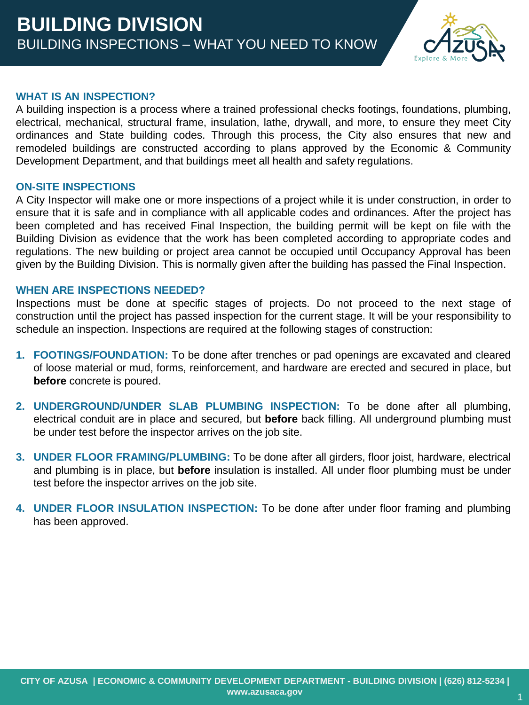

#### **WHAT IS AN INSPECTION?**

A building inspection is a process where a trained professional checks footings, foundations, plumbing, electrical, mechanical, structural frame, insulation, lathe, drywall, and more, to ensure they meet City ordinances and State building codes. Through this process, the City also ensures that new and remodeled buildings are constructed according to plans approved by the Economic & Community Development Department, and that buildings meet all health and safety regulations.

#### **ON-SITE INSPECTIONS**

A City Inspector will make one or more inspections of a project while it is under construction, in order to ensure that it is safe and in compliance with all applicable codes and ordinances. After the project has been completed and has received Final Inspection, the building permit will be kept on file with the Building Division as evidence that the work has been completed according to appropriate codes and regulations. The new building or project area cannot be occupied until Occupancy Approval has been given by the Building Division. This is normally given after the building has passed the Final Inspection.

## **WHEN ARE INSPECTIONS NEEDED?**

Inspections must be done at specific stages of projects. Do not proceed to the next stage of construction until the project has passed inspection for the current stage. It will be your responsibility to schedule an inspection. Inspections are required at the following stages of construction:

- **1. FOOTINGS/FOUNDATION:** To be done after trenches or pad openings are excavated and cleared of loose material or mud, forms, reinforcement, and hardware are erected and secured in place, but **before** concrete is poured.
- **2. UNDERGROUND/UNDER SLAB PLUMBING INSPECTION:** To be done after all plumbing, electrical conduit are in place and secured, but **before** back filling. All underground plumbing must be under test before the inspector arrives on the job site.
- **3. UNDER FLOOR FRAMING/PLUMBING:** To be done after all girders, floor joist, hardware, electrical and plumbing is in place, but **before** insulation is installed. All under floor plumbing must be under test before the inspector arrives on the job site.
- **4. UNDER FLOOR INSULATION INSPECTION:** To be done after under floor framing and plumbing has been approved.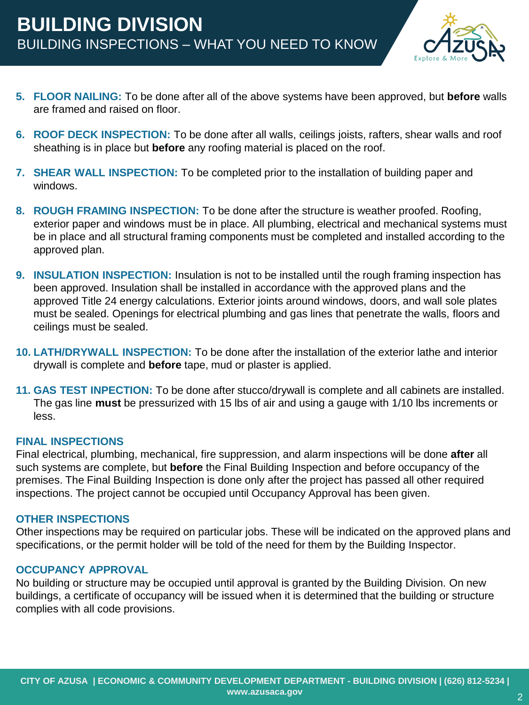

- **5. FLOOR NAILING:** To be done after all of the above systems have been approved, but **before** walls are framed and raised on floor.
- **6. ROOF DECK INSPECTION:** To be done after all walls, ceilings joists, rafters, shear walls and roof sheathing is in place but **before** any roofing material is placed on the roof.
- **7. SHEAR WALL INSPECTION:** To be completed prior to the installation of building paper and windows.
- **8. ROUGH FRAMING INSPECTION:** To be done after the structure is weather proofed. Roofing, exterior paper and windows must be in place. All plumbing, electrical and mechanical systems must be in place and all structural framing components must be completed and installed according to the approved plan.
- **9. INSULATION INSPECTION:** Insulation is not to be installed until the rough framing inspection has been approved. Insulation shall be installed in accordance with the approved plans and the approved Title 24 energy calculations. Exterior joints around windows, doors, and wall sole plates must be sealed. Openings for electrical plumbing and gas lines that penetrate the walls, floors and ceilings must be sealed.
- **10. LATH/DRYWALL INSPECTION:** To be done after the installation of the exterior lathe and interior drywall is complete and **before** tape, mud or plaster is applied.
- **11. GAS TEST INPECTION:** To be done after stucco/drywall is complete and all cabinets are installed. The gas line **must** be pressurized with 15 lbs of air and using a gauge with 1/10 lbs increments or less.

#### **FINAL INSPECTIONS**

Final electrical, plumbing, mechanical, fire suppression, and alarm inspections will be done **after** all such systems are complete, but **before** the Final Building Inspection and before occupancy of the premises. The Final Building Inspection is done only after the project has passed all other required inspections. The project cannot be occupied until Occupancy Approval has been given.

#### **OTHER INSPECTIONS**

Other inspections may be required on particular jobs. These will be indicated on the approved plans and specifications, or the permit holder will be told of the need for them by the Building Inspector.

## **OCCUPANCY APPROVAL**

No building or structure may be occupied until approval is granted by the Building Division. On new buildings, a certificate of occupancy will be issued when it is determined that the building or structure complies with all code provisions.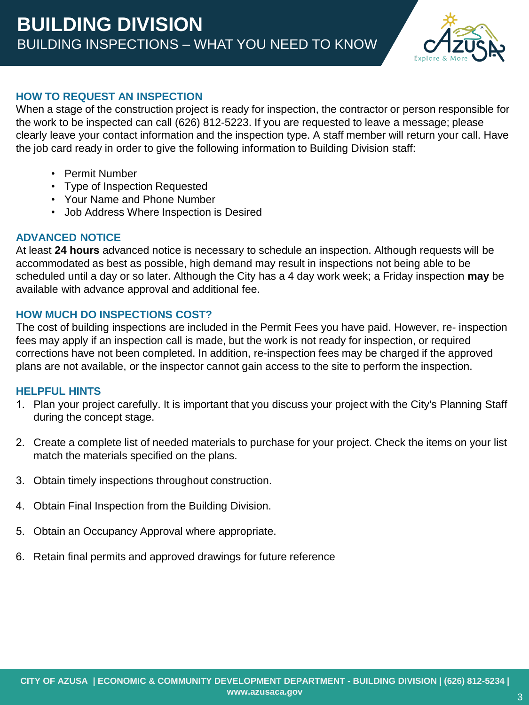

## **HOW TO REQUEST AN INSPECTION**

When a stage of the construction project is ready for inspection, the contractor or person responsible for the work to be inspected can call (626) 812-5223. If you are requested to leave a message; please clearly leave your contact information and the inspection type. A staff member will return your call. Have the job card ready in order to give the following information to Building Division staff:

- Permit Number
- Type of Inspection Requested
- Your Name and Phone Number
- Job Address Where Inspection is Desired

# **ADVANCED NOTICE**

At least **24 hours** advanced notice is necessary to schedule an inspection. Although requests will be accommodated as best as possible, high demand may result in inspections not being able to be scheduled until a day or so later. Although the City has a 4 day work week; a Friday inspection **may** be available with advance approval and additional fee.

# **HOW MUCH DO INSPECTIONS COST?**

The cost of building inspections are included in the Permit Fees you have paid. However, re- inspection fees may apply if an inspection call is made, but the work is not ready for inspection, or required corrections have not been completed. In addition, re-inspection fees may be charged if the approved plans are not available, or the inspector cannot gain access to the site to perform the inspection.

## **HELPFUL HINTS**

- 1. Plan your project carefully. It is important that you discuss your project with the City's Planning Staff during the concept stage.
- 2. Create a complete list of needed materials to purchase for your project. Check the items on your list match the materials specified on the plans.
- 3. Obtain timely inspections throughout construction.
- 4. Obtain Final Inspection from the Building Division.
- 5. Obtain an Occupancy Approval where appropriate.
- 6. Retain final permits and approved drawings for future reference